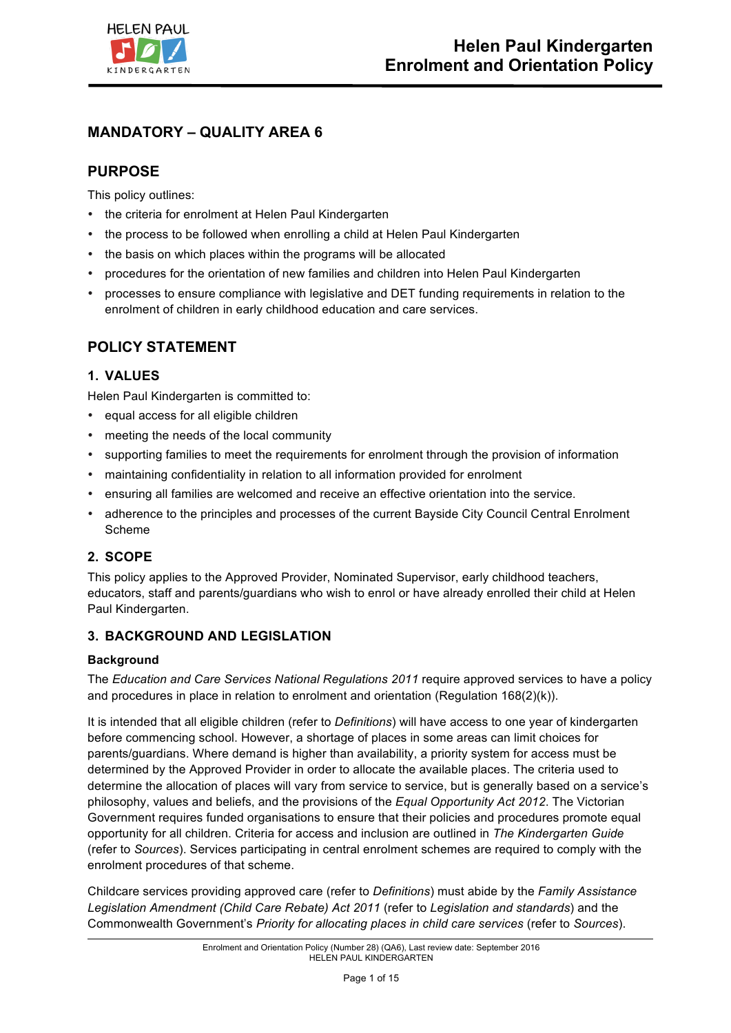

# **MANDATORY – QUALITY AREA 6**

## **PURPOSE**

This policy outlines:

- the criteria for enrolment at Helen Paul Kindergarten
- the process to be followed when enrolling a child at Helen Paul Kindergarten
- the basis on which places within the programs will be allocated
- procedures for the orientation of new families and children into Helen Paul Kindergarten
- processes to ensure compliance with legislative and DET funding requirements in relation to the enrolment of children in early childhood education and care services.

# **POLICY STATEMENT**

### **1. VALUES**

Helen Paul Kindergarten is committed to:

- equal access for all eligible children
- meeting the needs of the local community
- supporting families to meet the requirements for enrolment through the provision of information
- maintaining confidentiality in relation to all information provided for enrolment
- ensuring all families are welcomed and receive an effective orientation into the service.
- adherence to the principles and processes of the current Bayside City Council Central Enrolment Scheme

## **2. SCOPE**

This policy applies to the Approved Provider, Nominated Supervisor, early childhood teachers, educators, staff and parents/guardians who wish to enrol or have already enrolled their child at Helen Paul Kindergarten.

### **3. BACKGROUND AND LEGISLATION**

### **Background**

The *Education and Care Services National Regulations 2011* require approved services to have a policy and procedures in place in relation to enrolment and orientation (Regulation 168(2)(k)).

It is intended that all eligible children (refer to *Definitions*) will have access to one year of kindergarten before commencing school. However, a shortage of places in some areas can limit choices for parents/guardians. Where demand is higher than availability, a priority system for access must be determined by the Approved Provider in order to allocate the available places. The criteria used to determine the allocation of places will vary from service to service, but is generally based on a service's philosophy, values and beliefs, and the provisions of the *Equal Opportunity Act 2012*. The Victorian Government requires funded organisations to ensure that their policies and procedures promote equal opportunity for all children. Criteria for access and inclusion are outlined in *The Kindergarten Guide*  (refer to *Sources*). Services participating in central enrolment schemes are required to comply with the enrolment procedures of that scheme.

Childcare services providing approved care (refer to *Definitions*) must abide by the *Family Assistance Legislation Amendment (Child Care Rebate) Act 2011* (refer to *Legislation and standards*) and the Commonwealth Government's *Priority for allocating places in child care services* (refer to *Sources*).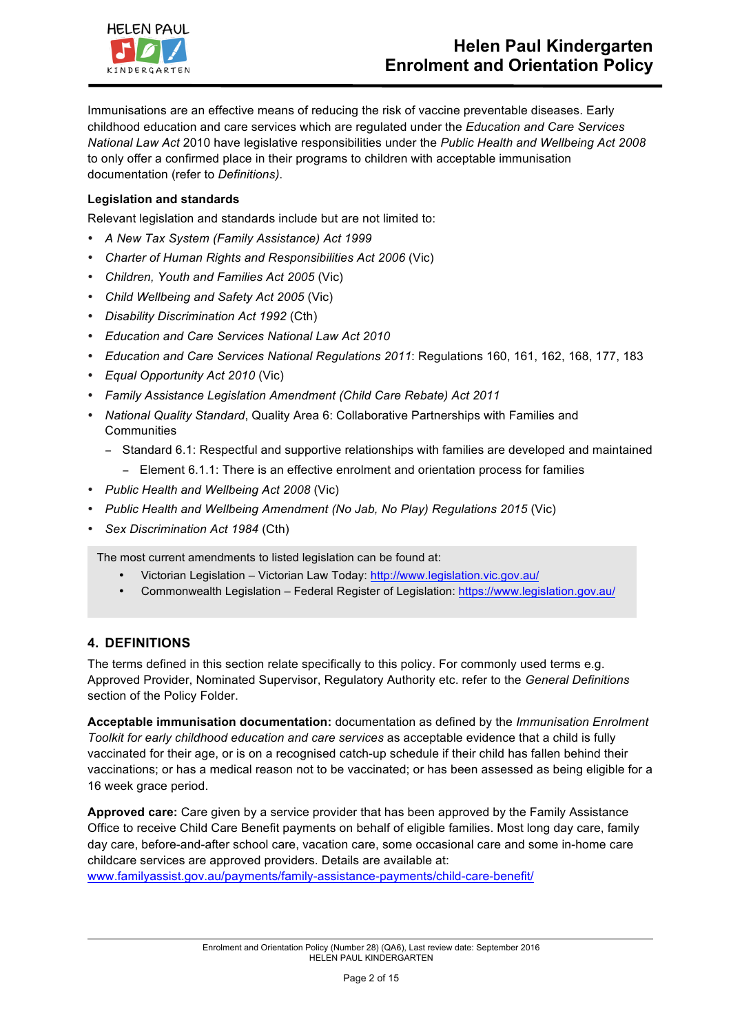

Immunisations are an effective means of reducing the risk of vaccine preventable diseases. Early childhood education and care services which are regulated under the *Education and Care Services National Law Act* 2010 have legislative responsibilities under the *Public Health and Wellbeing Act 2008* to only offer a confirmed place in their programs to children with acceptable immunisation documentation (refer to *Definitions)*.

#### **Legislation and standards**

Relevant legislation and standards include but are not limited to:

- *A New Tax System (Family Assistance) Act 1999*
- *Charter of Human Rights and Responsibilities Act 2006* (Vic)
- *Children, Youth and Families Act 2005* (Vic)
- *Child Wellbeing and Safety Act 2005* (Vic)
- *Disability Discrimination Act 1992* (Cth)
- *Education and Care Services National Law Act 2010*
- *Education and Care Services National Regulations 2011*: Regulations 160, 161, 162, 168, 177, 183
- *Equal Opportunity Act 2010* (Vic)
- *Family Assistance Legislation Amendment (Child Care Rebate) Act 2011*
- *National Quality Standard*, Quality Area 6: Collaborative Partnerships with Families and **Communities** 
	- − Standard 6.1: Respectful and supportive relationships with families are developed and maintained
	- − Element 6.1.1: There is an effective enrolment and orientation process for families
- *Public Health and Wellbeing Act 2008* (Vic)
- *Public Health and Wellbeing Amendment (No Jab, No Play) Regulations 2015* (Vic)
- *Sex Discrimination Act 1984* (Cth)

The most current amendments to listed legislation can be found at:

- Victorian Legislation Victorian Law Today: http://www.legislation.vic.gov.au/
- Commonwealth Legislation Federal Register of Legislation: https://www.legislation.gov.au/

### **4. DEFINITIONS**

The terms defined in this section relate specifically to this policy. For commonly used terms e.g. Approved Provider, Nominated Supervisor, Regulatory Authority etc. refer to the *General Definitions* section of the Policy Folder.

**Acceptable immunisation documentation:** documentation as defined by the *Immunisation Enrolment Toolkit for early childhood education and care services* as acceptable evidence that a child is fully vaccinated for their age, or is on a recognised catch-up schedule if their child has fallen behind their vaccinations; or has a medical reason not to be vaccinated; or has been assessed as being eligible for a 16 week grace period.

**Approved care:** Care given by a service provider that has been approved by the Family Assistance Office to receive Child Care Benefit payments on behalf of eligible families. Most long day care, family day care, before-and-after school care, vacation care, some occasional care and some in-home care childcare services are approved providers. Details are available at: www.familyassist.gov.au/payments/family-assistance-payments/child-care-benefit/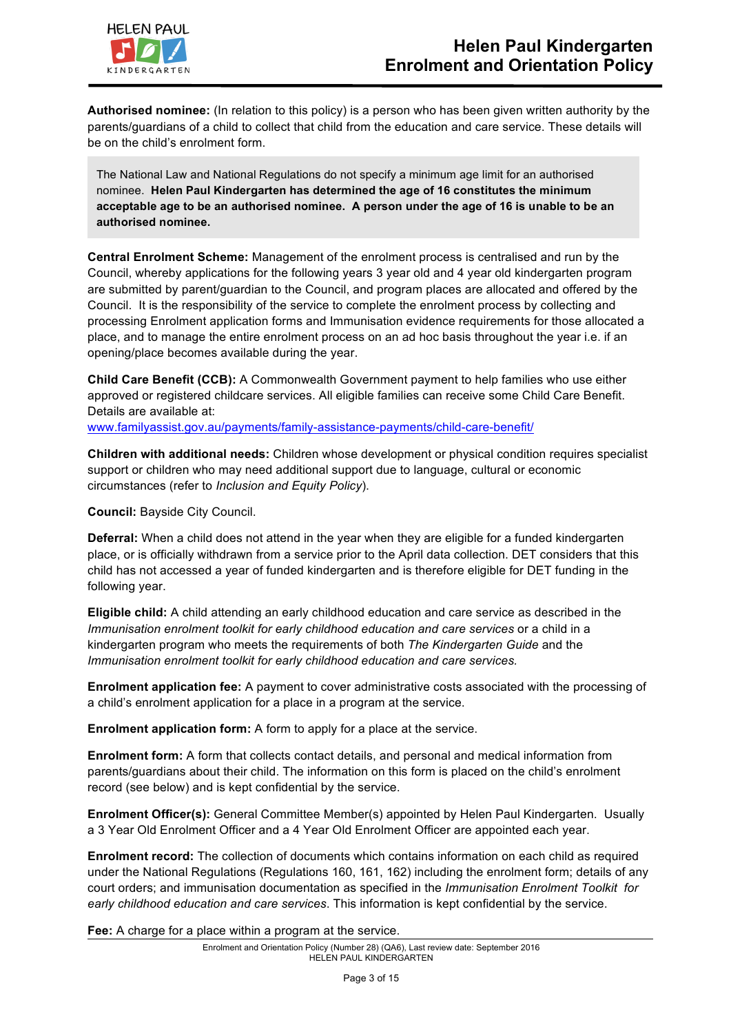

**Authorised nominee:** (In relation to this policy) is a person who has been given written authority by the parents/guardians of a child to collect that child from the education and care service. These details will be on the child's enrolment form.

The National Law and National Regulations do not specify a minimum age limit for an authorised nominee. **Helen Paul Kindergarten has determined the age of 16 constitutes the minimum acceptable age to be an authorised nominee. A person under the age of 16 is unable to be an authorised nominee.**

**Central Enrolment Scheme:** Management of the enrolment process is centralised and run by the Council, whereby applications for the following years 3 year old and 4 year old kindergarten program are submitted by parent/guardian to the Council, and program places are allocated and offered by the Council. It is the responsibility of the service to complete the enrolment process by collecting and processing Enrolment application forms and Immunisation evidence requirements for those allocated a place, and to manage the entire enrolment process on an ad hoc basis throughout the year i.e. if an opening/place becomes available during the year.

**Child Care Benefit (CCB):** A Commonwealth Government payment to help families who use either approved or registered childcare services. All eligible families can receive some Child Care Benefit. Details are available at:

www.familyassist.gov.au/payments/family-assistance-payments/child-care-benefit/

**Children with additional needs:** Children whose development or physical condition requires specialist support or children who may need additional support due to language, cultural or economic circumstances (refer to *Inclusion and Equity Policy*).

**Council:** Bayside City Council.

**Deferral:** When a child does not attend in the year when they are eligible for a funded kindergarten place, or is officially withdrawn from a service prior to the April data collection. DET considers that this child has not accessed a year of funded kindergarten and is therefore eligible for DET funding in the following year.

**Eligible child:** A child attending an early childhood education and care service as described in the *Immunisation enrolment toolkit for early childhood education and care services or a child in a* kindergarten program who meets the requirements of both *The Kindergarten Guide* and the *Immunisation enrolment toolkit for early childhood education and care services.*

**Enrolment application fee:** A payment to cover administrative costs associated with the processing of a child's enrolment application for a place in a program at the service.

**Enrolment application form:** A form to apply for a place at the service.

**Enrolment form:** A form that collects contact details, and personal and medical information from parents/guardians about their child. The information on this form is placed on the child's enrolment record (see below) and is kept confidential by the service.

**Enrolment Officer(s):** General Committee Member(s) appointed by Helen Paul Kindergarten. Usually a 3 Year Old Enrolment Officer and a 4 Year Old Enrolment Officer are appointed each year.

**Enrolment record:** The collection of documents which contains information on each child as required under the National Regulations (Regulations 160, 161, 162) including the enrolment form; details of any court orders; and immunisation documentation as specified in the *Immunisation Enrolment Toolkit for early childhood education and care services*. This information is kept confidential by the service.

**Fee:** A charge for a place within a program at the service.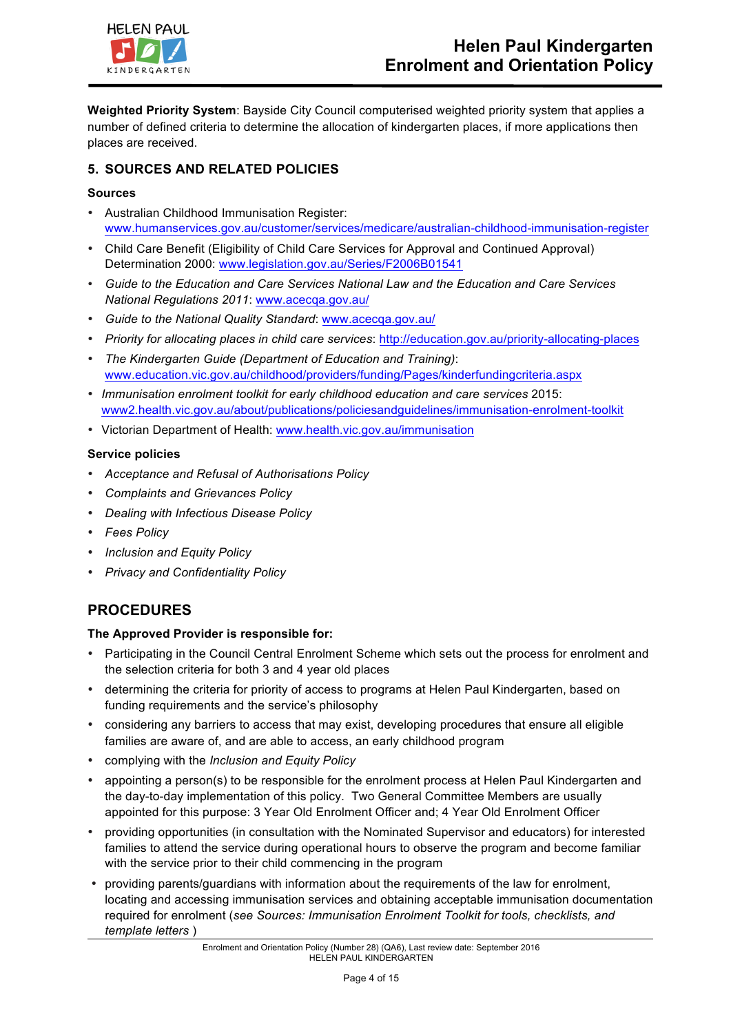

**Weighted Priority System**: Bayside City Council computerised weighted priority system that applies a number of defined criteria to determine the allocation of kindergarten places, if more applications then places are received.

## **5. SOURCES AND RELATED POLICIES**

#### **Sources**

- Australian Childhood Immunisation Register: www.humanservices.gov.au/customer/services/medicare/australian-childhood-immunisation-register
- Child Care Benefit (Eligibility of Child Care Services for Approval and Continued Approval) Determination 2000: www.legislation.gov.au/Series/F2006B01541
- *Guide to the Education and Care Services National Law and the Education and Care Services National Regulations 2011*: www.acecqa.gov.au/
- *Guide to the National Quality Standard*: www.acecqa.gov.au/
- *Priority for allocating places in child care services*: http://education.gov.au/priority-allocating-places
- *The Kindergarten Guide (Department of Education and Training)*: www.education.vic.gov.au/childhood/providers/funding/Pages/kinderfundingcriteria.aspx
- *Immunisation enrolment toolkit for early childhood education and care services* 2015: www2.health.vic.gov.au/about/publications/policiesandguidelines/immunisation-enrolment-toolkit
- Victorian Department of Health: www.health.vic.gov.au/immunisation

### **Service policies**

- *Acceptance and Refusal of Authorisations Policy*
- *Complaints and Grievances Policy*
- *Dealing with Infectious Disease Policy*
- *Fees Policy*
- *Inclusion and Equity Policy*
- *Privacy and Confidentiality Policy*

# **PROCEDURES**

#### **The Approved Provider is responsible for:**

- Participating in the Council Central Enrolment Scheme which sets out the process for enrolment and the selection criteria for both 3 and 4 year old places
- determining the criteria for priority of access to programs at Helen Paul Kindergarten, based on funding requirements and the service's philosophy
- considering any barriers to access that may exist, developing procedures that ensure all eligible families are aware of, and are able to access, an early childhood program
- complying with the *Inclusion and Equity Policy*
- appointing a person(s) to be responsible for the enrolment process at Helen Paul Kindergarten and the day-to-day implementation of this policy. Two General Committee Members are usually appointed for this purpose: 3 Year Old Enrolment Officer and; 4 Year Old Enrolment Officer
- providing opportunities (in consultation with the Nominated Supervisor and educators) for interested families to attend the service during operational hours to observe the program and become familiar with the service prior to their child commencing in the program
- providing parents/guardians with information about the requirements of the law for enrolment, locating and accessing immunisation services and obtaining acceptable immunisation documentation required for enrolment (*see Sources: Immunisation Enrolment Toolkit for tools, checklists, and template letters* )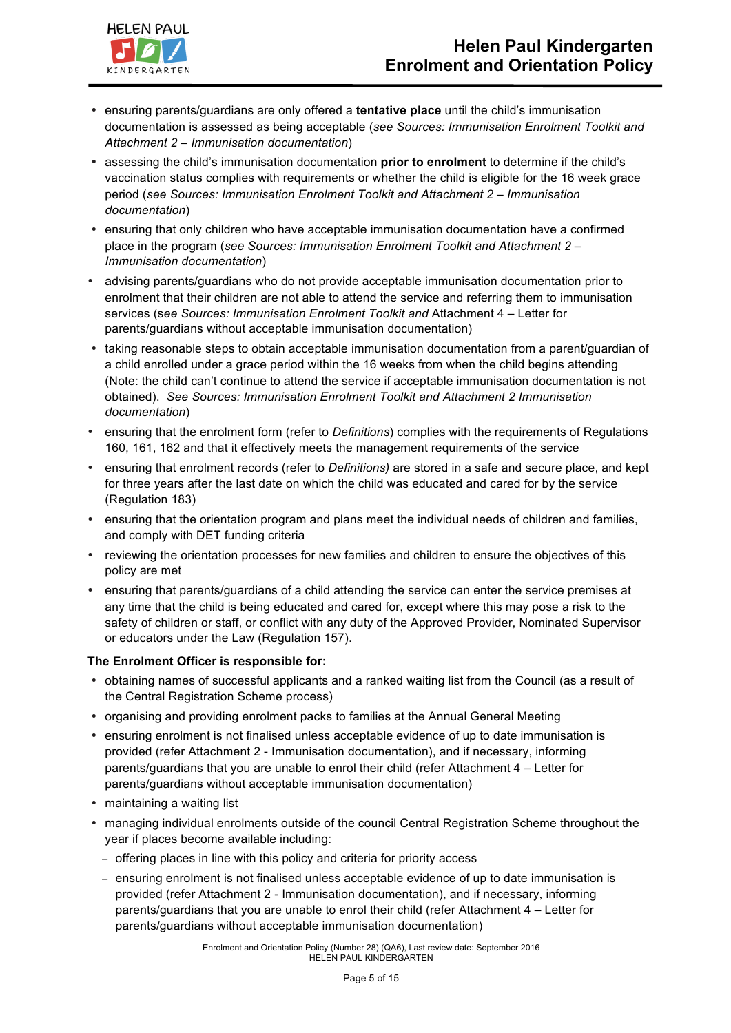

- ensuring parents/guardians are only offered a **tentative place** until the child's immunisation documentation is assessed as being acceptable (*see Sources: Immunisation Enrolment Toolkit and Attachment 2 – Immunisation documentation*)
- assessing the child's immunisation documentation **prior to enrolment** to determine if the child's vaccination status complies with requirements or whether the child is eligible for the 16 week grace period (*see Sources: Immunisation Enrolment Toolkit and Attachment 2 – Immunisation documentation*)
- ensuring that only children who have acceptable immunisation documentation have a confirmed place in the program (*see Sources: Immunisation Enrolment Toolkit and Attachment 2 – Immunisation documentation*)
- advising parents/guardians who do not provide acceptable immunisation documentation prior to enrolment that their children are not able to attend the service and referring them to immunisation services (s*ee Sources: Immunisation Enrolment Toolkit and* Attachment 4 – Letter for parents/guardians without acceptable immunisation documentation)
- taking reasonable steps to obtain acceptable immunisation documentation from a parent/guardian of a child enrolled under a grace period within the 16 weeks from when the child begins attending (Note: the child can't continue to attend the service if acceptable immunisation documentation is not obtained). *See Sources: Immunisation Enrolment Toolkit and Attachment 2 Immunisation documentation*)
- ensuring that the enrolment form (refer to *Definitions*) complies with the requirements of Regulations 160, 161, 162 and that it effectively meets the management requirements of the service
- ensuring that enrolment records (refer to *Definitions)* are stored in a safe and secure place, and kept for three years after the last date on which the child was educated and cared for by the service (Regulation 183)
- ensuring that the orientation program and plans meet the individual needs of children and families, and comply with DET funding criteria
- reviewing the orientation processes for new families and children to ensure the objectives of this policy are met
- ensuring that parents/guardians of a child attending the service can enter the service premises at any time that the child is being educated and cared for, except where this may pose a risk to the safety of children or staff, or conflict with any duty of the Approved Provider, Nominated Supervisor or educators under the Law (Regulation 157).

### **The Enrolment Officer is responsible for:**

- obtaining names of successful applicants and a ranked waiting list from the Council (as a result of the Central Registration Scheme process)
- organising and providing enrolment packs to families at the Annual General Meeting
- ensuring enrolment is not finalised unless acceptable evidence of up to date immunisation is provided (refer Attachment 2 - Immunisation documentation), and if necessary, informing parents/guardians that you are unable to enrol their child (refer Attachment 4 – Letter for parents/guardians without acceptable immunisation documentation)
- maintaining a waiting list
- managing individual enrolments outside of the council Central Registration Scheme throughout the year if places become available including:
	- − offering places in line with this policy and criteria for priority access
	- − ensuring enrolment is not finalised unless acceptable evidence of up to date immunisation is provided (refer Attachment 2 - Immunisation documentation), and if necessary, informing parents/guardians that you are unable to enrol their child (refer Attachment 4 – Letter for parents/guardians without acceptable immunisation documentation)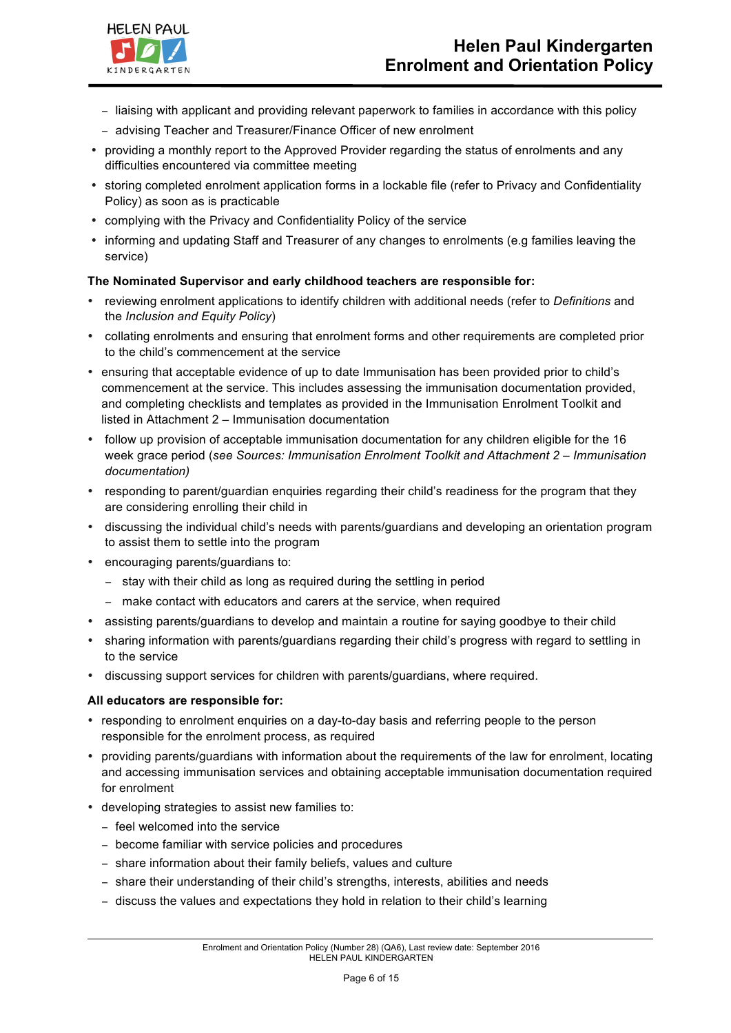- − liaising with applicant and providing relevant paperwork to families in accordance with this policy
- − advising Teacher and Treasurer/Finance Officer of new enrolment
- providing a monthly report to the Approved Provider regarding the status of enrolments and any difficulties encountered via committee meeting
- storing completed enrolment application forms in a lockable file (refer to Privacy and Confidentiality Policy) as soon as is practicable
- complying with the Privacy and Confidentiality Policy of the service
- informing and updating Staff and Treasurer of any changes to enrolments (e.g families leaving the service)

### **The Nominated Supervisor and early childhood teachers are responsible for:**

- reviewing enrolment applications to identify children with additional needs (refer to *Definitions* and the *Inclusion and Equity Policy*)
- collating enrolments and ensuring that enrolment forms and other requirements are completed prior to the child's commencement at the service
- ensuring that acceptable evidence of up to date Immunisation has been provided prior to child's commencement at the service. This includes assessing the immunisation documentation provided, and completing checklists and templates as provided in the Immunisation Enrolment Toolkit and listed in Attachment 2 – Immunisation documentation
- follow up provision of acceptable immunisation documentation for any children eligible for the 16 week grace period (*see Sources: Immunisation Enrolment Toolkit and Attachment 2 – Immunisation documentation)*
- responding to parent/guardian enquiries regarding their child's readiness for the program that they are considering enrolling their child in
- discussing the individual child's needs with parents/guardians and developing an orientation program to assist them to settle into the program
- encouraging parents/guardians to:
	- − stay with their child as long as required during the settling in period
	- − make contact with educators and carers at the service, when required
- assisting parents/guardians to develop and maintain a routine for saying goodbye to their child
- sharing information with parents/guardians regarding their child's progress with regard to settling in to the service
- discussing support services for children with parents/guardians, where required.

#### **All educators are responsible for:**

- responding to enrolment enquiries on a day-to-day basis and referring people to the person responsible for the enrolment process, as required
- providing parents/guardians with information about the requirements of the law for enrolment, locating and accessing immunisation services and obtaining acceptable immunisation documentation required for enrolment
- developing strategies to assist new families to:
	- − feel welcomed into the service
	- − become familiar with service policies and procedures
	- − share information about their family beliefs, values and culture
	- − share their understanding of their child's strengths, interests, abilities and needs
	- − discuss the values and expectations they hold in relation to their child's learning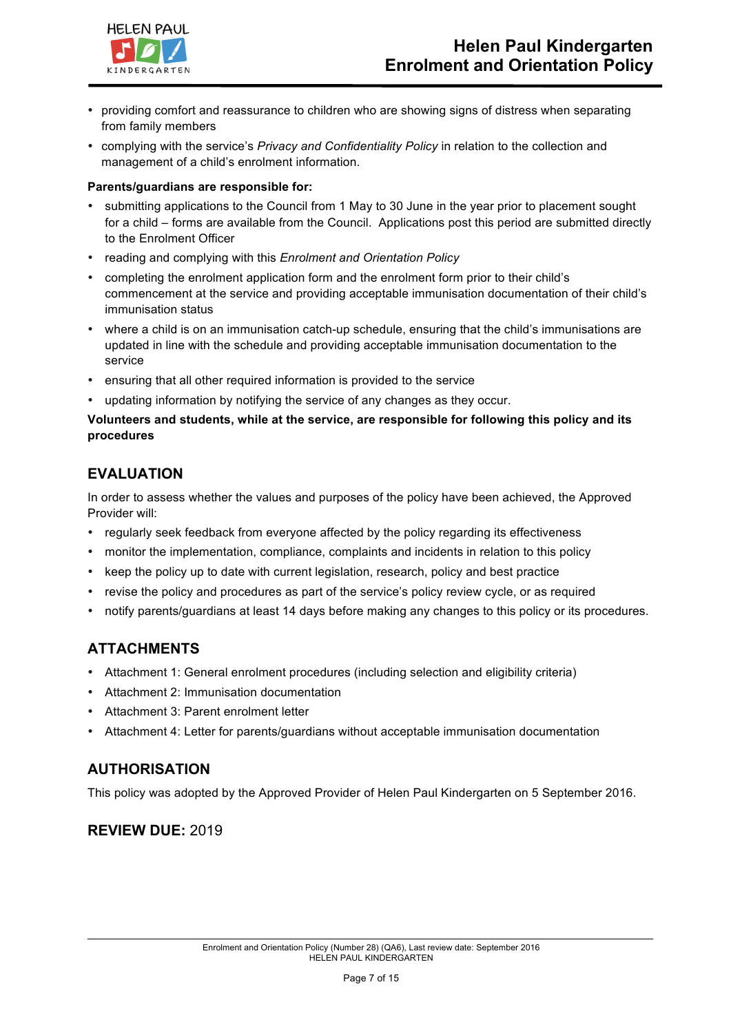

- providing comfort and reassurance to children who are showing signs of distress when separating from family members
- complying with the service's *Privacy and Confidentiality Policy* in relation to the collection and management of a child's enrolment information.

#### **Parents/guardians are responsible for:**

- submitting applications to the Council from 1 May to 30 June in the year prior to placement sought for a child – forms are available from the Council. Applications post this period are submitted directly to the Enrolment Officer
- reading and complying with this *Enrolment and Orientation Policy*
- completing the enrolment application form and the enrolment form prior to their child's commencement at the service and providing acceptable immunisation documentation of their child's immunisation status
- where a child is on an immunisation catch-up schedule, ensuring that the child's immunisations are updated in line with the schedule and providing acceptable immunisation documentation to the service
- ensuring that all other required information is provided to the service
- updating information by notifying the service of any changes as they occur.

#### **Volunteers and students, while at the service, are responsible for following this policy and its procedures**

## **EVALUATION**

In order to assess whether the values and purposes of the policy have been achieved, the Approved Provider will:

- regularly seek feedback from everyone affected by the policy regarding its effectiveness
- monitor the implementation, compliance, complaints and incidents in relation to this policy
- keep the policy up to date with current legislation, research, policy and best practice
- revise the policy and procedures as part of the service's policy review cycle, or as required
- notify parents/guardians at least 14 days before making any changes to this policy or its procedures.

## **ATTACHMENTS**

- Attachment 1: General enrolment procedures (including selection and eligibility criteria)
- Attachment 2: Immunisation documentation
- Attachment 3: Parent enrolment letter
- Attachment 4: Letter for parents/guardians without acceptable immunisation documentation

## **AUTHORISATION**

This policy was adopted by the Approved Provider of Helen Paul Kindergarten on 5 September 2016.

## **REVIEW DUE:** 2019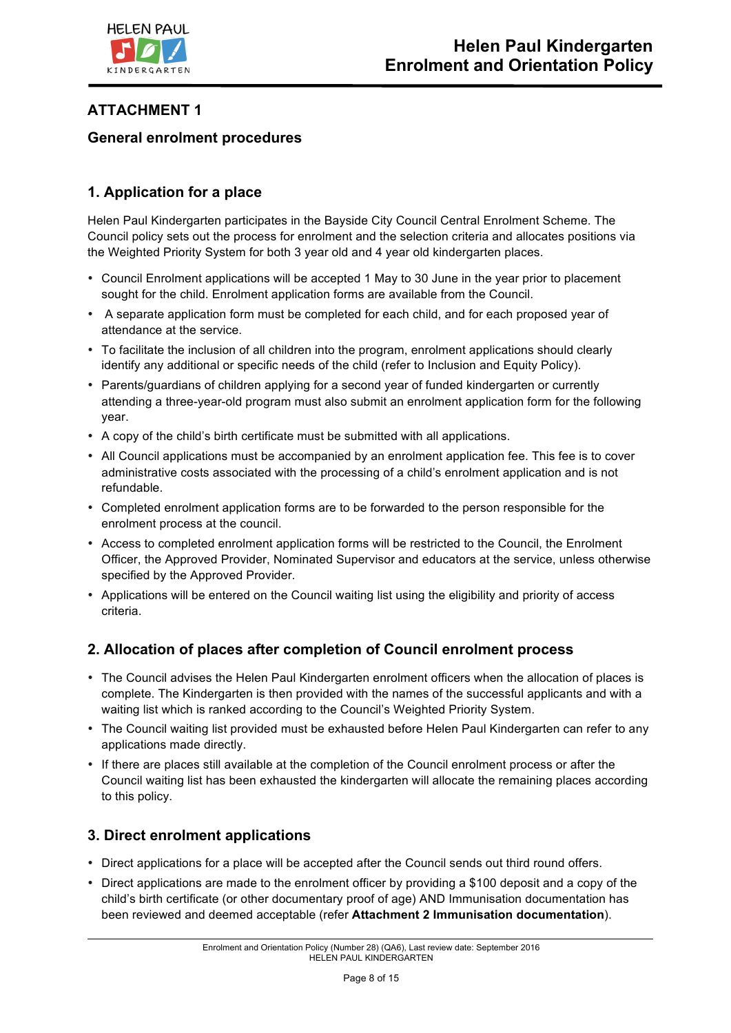

# **ATTACHMENT 1**

## **General enrolment procedures**

# **1. Application for a place**

Helen Paul Kindergarten participates in the Bayside City Council Central Enrolment Scheme. The Council policy sets out the process for enrolment and the selection criteria and allocates positions via the Weighted Priority System for both 3 year old and 4 year old kindergarten places.

- Council Enrolment applications will be accepted 1 May to 30 June in the year prior to placement sought for the child. Enrolment application forms are available from the Council.
- A separate application form must be completed for each child, and for each proposed year of attendance at the service.
- To facilitate the inclusion of all children into the program, enrolment applications should clearly identify any additional or specific needs of the child (refer to Inclusion and Equity Policy).
- Parents/guardians of children applying for a second year of funded kindergarten or currently attending a three-year-old program must also submit an enrolment application form for the following year.
- A copy of the child's birth certificate must be submitted with all applications.
- All Council applications must be accompanied by an enrolment application fee. This fee is to cover administrative costs associated with the processing of a child's enrolment application and is not refundable.
- Completed enrolment application forms are to be forwarded to the person responsible for the enrolment process at the council.
- Access to completed enrolment application forms will be restricted to the Council, the Enrolment Officer, the Approved Provider, Nominated Supervisor and educators at the service, unless otherwise specified by the Approved Provider.
- Applications will be entered on the Council waiting list using the eligibility and priority of access criteria.

# **2. Allocation of places after completion of Council enrolment process**

- The Council advises the Helen Paul Kindergarten enrolment officers when the allocation of places is complete. The Kindergarten is then provided with the names of the successful applicants and with a waiting list which is ranked according to the Council's Weighted Priority System.
- The Council waiting list provided must be exhausted before Helen Paul Kindergarten can refer to any applications made directly.
- If there are places still available at the completion of the Council enrolment process or after the Council waiting list has been exhausted the kindergarten will allocate the remaining places according to this policy.

## **3. Direct enrolment applications**

- Direct applications for a place will be accepted after the Council sends out third round offers.
- Direct applications are made to the enrolment officer by providing a \$100 deposit and a copy of the child's birth certificate (or other documentary proof of age) AND Immunisation documentation has been reviewed and deemed acceptable (refer **Attachment 2 Immunisation documentation**).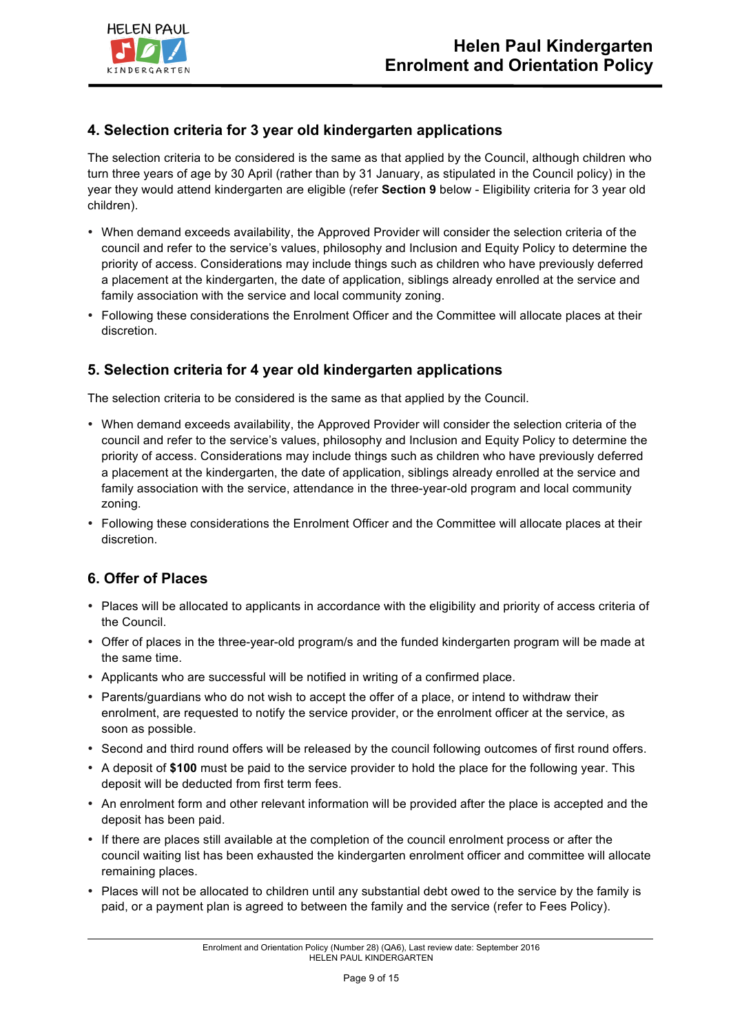

## **4. Selection criteria for 3 year old kindergarten applications**

The selection criteria to be considered is the same as that applied by the Council, although children who turn three years of age by 30 April (rather than by 31 January, as stipulated in the Council policy) in the year they would attend kindergarten are eligible (refer **Section 9** below - Eligibility criteria for 3 year old children).

- When demand exceeds availability, the Approved Provider will consider the selection criteria of the council and refer to the service's values, philosophy and Inclusion and Equity Policy to determine the priority of access. Considerations may include things such as children who have previously deferred a placement at the kindergarten, the date of application, siblings already enrolled at the service and family association with the service and local community zoning.
- Following these considerations the Enrolment Officer and the Committee will allocate places at their discretion.

## **5. Selection criteria for 4 year old kindergarten applications**

The selection criteria to be considered is the same as that applied by the Council.

- When demand exceeds availability, the Approved Provider will consider the selection criteria of the council and refer to the service's values, philosophy and Inclusion and Equity Policy to determine the priority of access. Considerations may include things such as children who have previously deferred a placement at the kindergarten, the date of application, siblings already enrolled at the service and family association with the service, attendance in the three-year-old program and local community zoning.
- Following these considerations the Enrolment Officer and the Committee will allocate places at their discretion.

## **6. Offer of Places**

- Places will be allocated to applicants in accordance with the eligibility and priority of access criteria of the Council.
- Offer of places in the three-year-old program/s and the funded kindergarten program will be made at the same time.
- Applicants who are successful will be notified in writing of a confirmed place.
- Parents/guardians who do not wish to accept the offer of a place, or intend to withdraw their enrolment, are requested to notify the service provider, or the enrolment officer at the service, as soon as possible.
- Second and third round offers will be released by the council following outcomes of first round offers.
- A deposit of **\$100** must be paid to the service provider to hold the place for the following year. This deposit will be deducted from first term fees.
- An enrolment form and other relevant information will be provided after the place is accepted and the deposit has been paid.
- If there are places still available at the completion of the council enrolment process or after the council waiting list has been exhausted the kindergarten enrolment officer and committee will allocate remaining places.
- Places will not be allocated to children until any substantial debt owed to the service by the family is paid, or a payment plan is agreed to between the family and the service (refer to Fees Policy).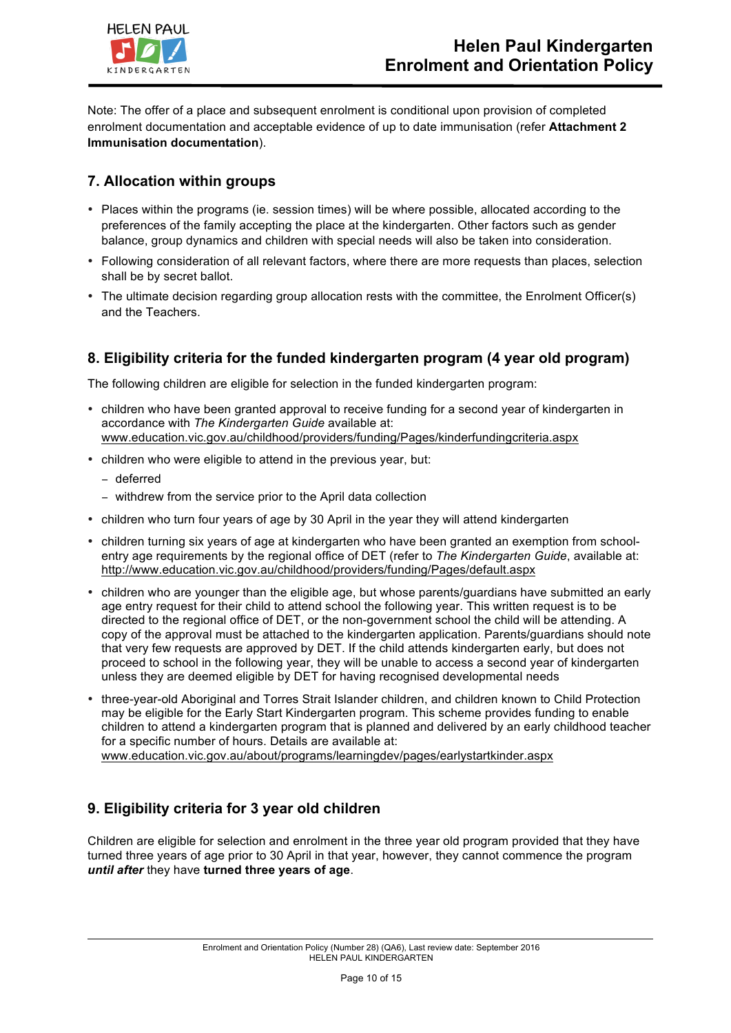

Note: The offer of a place and subsequent enrolment is conditional upon provision of completed enrolment documentation and acceptable evidence of up to date immunisation (refer **Attachment 2 Immunisation documentation**).

# **7. Allocation within groups**

- Places within the programs (ie. session times) will be where possible, allocated according to the preferences of the family accepting the place at the kindergarten. Other factors such as gender balance, group dynamics and children with special needs will also be taken into consideration.
- Following consideration of all relevant factors, where there are more requests than places, selection shall be by secret ballot.
- The ultimate decision regarding group allocation rests with the committee, the Enrolment Officer(s) and the Teachers.

# **8. Eligibility criteria for the funded kindergarten program (4 year old program)**

The following children are eligible for selection in the funded kindergarten program:

- children who have been granted approval to receive funding for a second year of kindergarten in accordance with *The Kindergarten Guide* available at: www.education.vic.gov.au/childhood/providers/funding/Pages/kinderfundingcriteria.aspx
- children who were eligible to attend in the previous year, but:
	- − deferred
	- − withdrew from the service prior to the April data collection
- children who turn four years of age by 30 April in the year they will attend kindergarten
- children turning six years of age at kindergarten who have been granted an exemption from schoolentry age requirements by the regional office of DET (refer to *The Kindergarten Guide*, available at: http://www.education.vic.gov.au/childhood/providers/funding/Pages/default.aspx
- children who are younger than the eligible age, but whose parents/guardians have submitted an early age entry request for their child to attend school the following year. This written request is to be directed to the regional office of DET, or the non-government school the child will be attending. A copy of the approval must be attached to the kindergarten application. Parents/guardians should note that very few requests are approved by DET. If the child attends kindergarten early, but does not proceed to school in the following year, they will be unable to access a second year of kindergarten unless they are deemed eligible by DET for having recognised developmental needs
- three-year-old Aboriginal and Torres Strait Islander children, and children known to Child Protection may be eligible for the Early Start Kindergarten program. This scheme provides funding to enable children to attend a kindergarten program that is planned and delivered by an early childhood teacher for a specific number of hours. Details are available at: www.education.vic.gov.au/about/programs/learningdev/pages/earlystartkinder.aspx

# **9. Eligibility criteria for 3 year old children**

Children are eligible for selection and enrolment in the three year old program provided that they have turned three years of age prior to 30 April in that year, however, they cannot commence the program *until after* they have **turned three years of age**.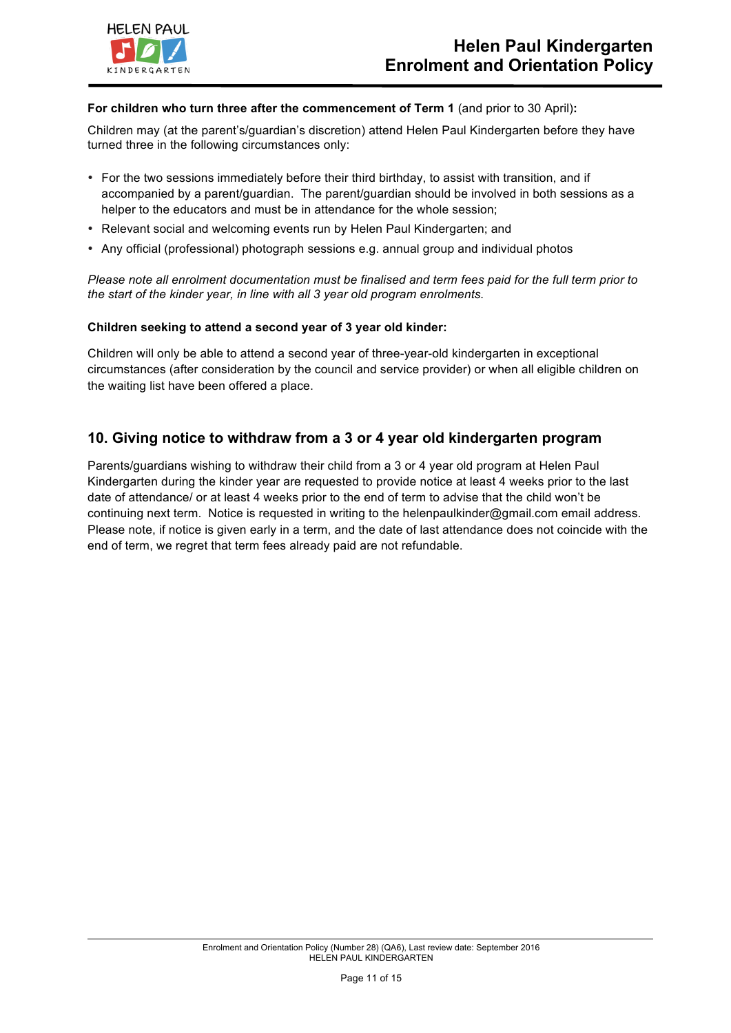

#### **For children who turn three after the commencement of Term 1** (and prior to 30 April)**:**

Children may (at the parent's/guardian's discretion) attend Helen Paul Kindergarten before they have turned three in the following circumstances only:

- For the two sessions immediately before their third birthday, to assist with transition, and if accompanied by a parent/guardian. The parent/guardian should be involved in both sessions as a helper to the educators and must be in attendance for the whole session;
- Relevant social and welcoming events run by Helen Paul Kindergarten; and
- Any official (professional) photograph sessions e.g. annual group and individual photos

*Please note all enrolment documentation must be finalised and term fees paid for the full term prior to the start of the kinder year, in line with all 3 year old program enrolments.* 

#### **Children seeking to attend a second year of 3 year old kinder:**

Children will only be able to attend a second year of three-year-old kindergarten in exceptional circumstances (after consideration by the council and service provider) or when all eligible children on the waiting list have been offered a place.

### **10. Giving notice to withdraw from a 3 or 4 year old kindergarten program**

Parents/guardians wishing to withdraw their child from a 3 or 4 year old program at Helen Paul Kindergarten during the kinder year are requested to provide notice at least 4 weeks prior to the last date of attendance/ or at least 4 weeks prior to the end of term to advise that the child won't be continuing next term. Notice is requested in writing to the helenpaulkinder@gmail.com email address. Please note, if notice is given early in a term, and the date of last attendance does not coincide with the end of term, we regret that term fees already paid are not refundable.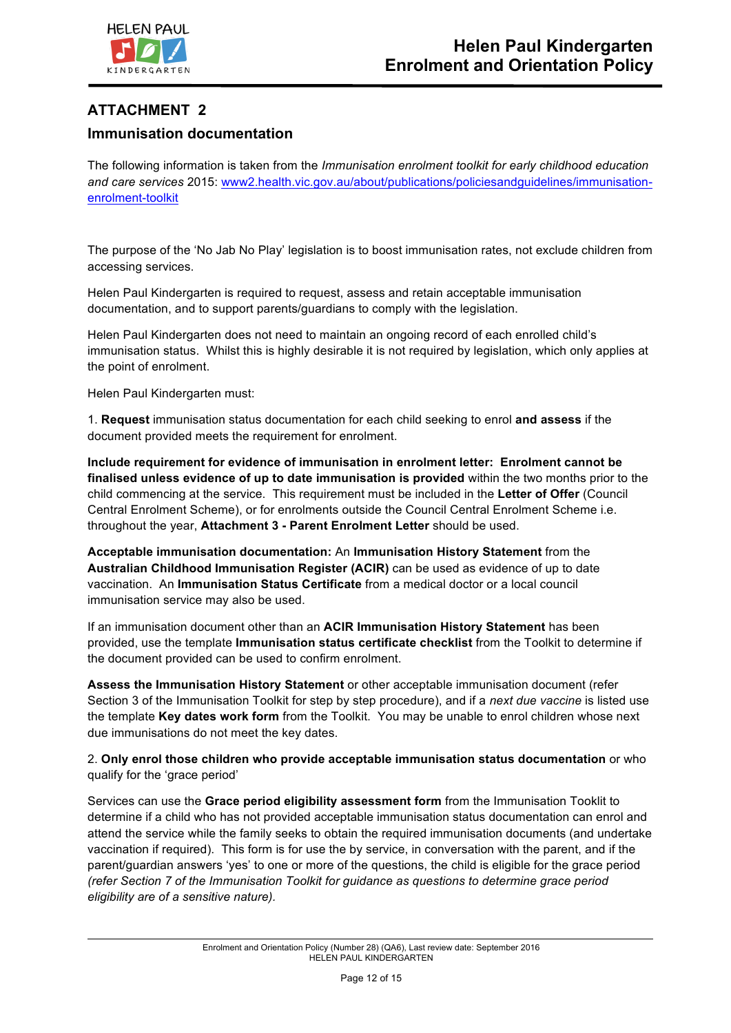

## **ATTACHMENT 2**

## **Immunisation documentation**

The following information is taken from the *Immunisation enrolment toolkit for early childhood education and care services* 2015: www2.health.vic.gov.au/about/publications/policiesandguidelines/immunisationenrolment-toolkit

The purpose of the 'No Jab No Play' legislation is to boost immunisation rates, not exclude children from accessing services.

Helen Paul Kindergarten is required to request, assess and retain acceptable immunisation documentation, and to support parents/guardians to comply with the legislation.

Helen Paul Kindergarten does not need to maintain an ongoing record of each enrolled child's immunisation status. Whilst this is highly desirable it is not required by legislation, which only applies at the point of enrolment.

Helen Paul Kindergarten must:

1. **Request** immunisation status documentation for each child seeking to enrol **and assess** if the document provided meets the requirement for enrolment.

**Include requirement for evidence of immunisation in enrolment letter: Enrolment cannot be finalised unless evidence of up to date immunisation is provided** within the two months prior to the child commencing at the service. This requirement must be included in the **Letter of Offer** (Council Central Enrolment Scheme), or for enrolments outside the Council Central Enrolment Scheme i.e. throughout the year, **Attachment 3 - Parent Enrolment Letter** should be used.

**Acceptable immunisation documentation:** An **Immunisation History Statement** from the **Australian Childhood Immunisation Register (ACIR)** can be used as evidence of up to date vaccination. An **Immunisation Status Certificate** from a medical doctor or a local council immunisation service may also be used.

If an immunisation document other than an **ACIR Immunisation History Statement** has been provided, use the template **Immunisation status certificate checklist** from the Toolkit to determine if the document provided can be used to confirm enrolment.

**Assess the Immunisation History Statement** or other acceptable immunisation document (refer Section 3 of the Immunisation Toolkit for step by step procedure), and if a *next due vaccine* is listed use the template **Key dates work form** from the Toolkit. You may be unable to enrol children whose next due immunisations do not meet the key dates.

2. **Only enrol those children who provide acceptable immunisation status documentation** or who qualify for the 'grace period'

Services can use the **Grace period eligibility assessment form** from the Immunisation Tooklit to determine if a child who has not provided acceptable immunisation status documentation can enrol and attend the service while the family seeks to obtain the required immunisation documents (and undertake vaccination if required). This form is for use the by service, in conversation with the parent, and if the parent/guardian answers 'yes' to one or more of the questions, the child is eligible for the grace period *(refer Section 7 of the Immunisation Toolkit for guidance as questions to determine grace period eligibility are of a sensitive nature).*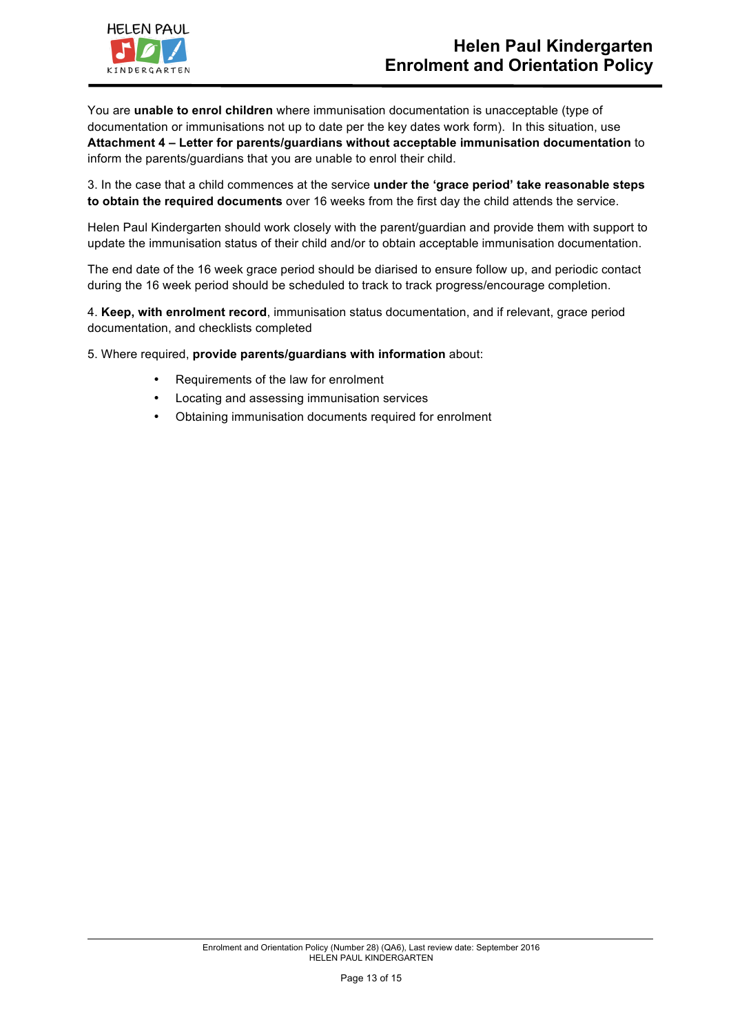

You are **unable to enrol children** where immunisation documentation is unacceptable (type of documentation or immunisations not up to date per the key dates work form). In this situation, use **Attachment 4 – Letter for parents/guardians without acceptable immunisation documentation** to inform the parents/guardians that you are unable to enrol their child.

3. In the case that a child commences at the service **under the 'grace period' take reasonable steps to obtain the required documents** over 16 weeks from the first day the child attends the service.

Helen Paul Kindergarten should work closely with the parent/guardian and provide them with support to update the immunisation status of their child and/or to obtain acceptable immunisation documentation.

The end date of the 16 week grace period should be diarised to ensure follow up, and periodic contact during the 16 week period should be scheduled to track to track progress/encourage completion.

4. **Keep, with enrolment record**, immunisation status documentation, and if relevant, grace period documentation, and checklists completed

5. Where required, **provide parents/guardians with information** about:

- Requirements of the law for enrolment
- Locating and assessing immunisation services
- Obtaining immunisation documents required for enrolment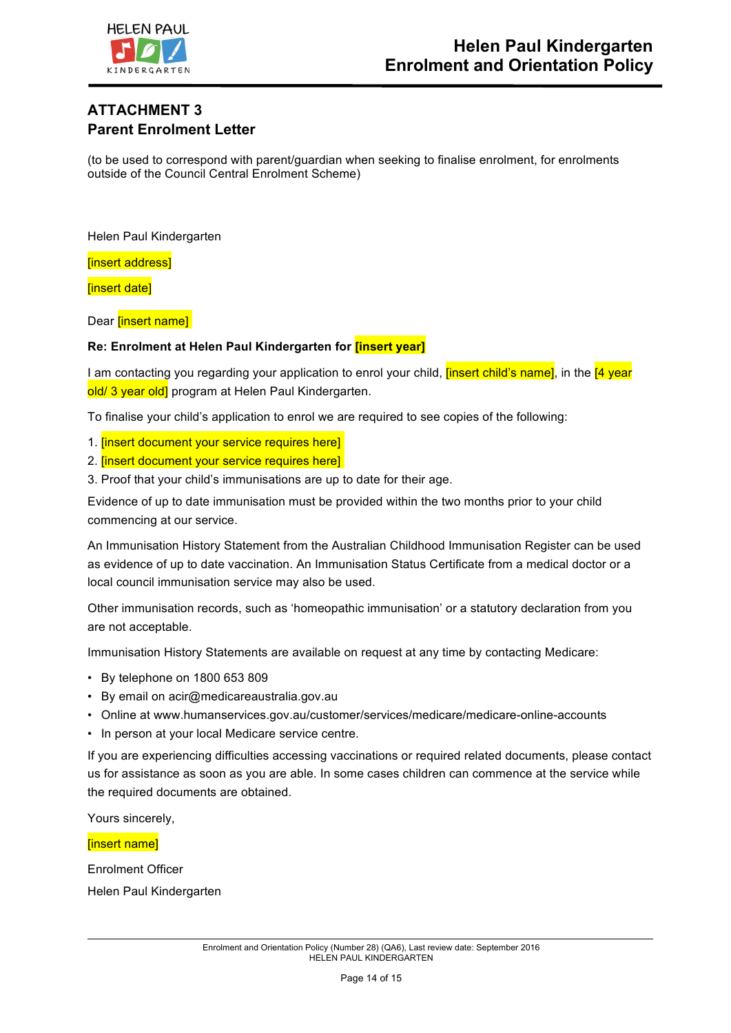

# **ATTACHMENT 3 Parent Enrolment Letter**

(to be used to correspond with parent/guardian when seeking to finalise enrolment, for enrolments outside of the Council Central Enrolment Scheme)

Helen Paul Kindergarten

[insert address]

[insert date]

Dear **[insert name]** 

### **Re: Enrolment at Helen Paul Kindergarten for [insert year]**

I am contacting you regarding your application to enrol your child, *[insert child's name]*, in the [4 year] old/ 3 year old] program at Helen Paul Kindergarten.

To finalise your child's application to enrol we are required to see copies of the following:

- 1. [insert document your service requires here]
- 2. **[insert document your service requires here]**
- 3. Proof that your child's immunisations are up to date for their age.

Evidence of up to date immunisation must be provided within the two months prior to your child commencing at our service.

An Immunisation History Statement from the Australian Childhood Immunisation Register can be used as evidence of up to date vaccination. An Immunisation Status Certificate from a medical doctor or a local council immunisation service may also be used.

Other immunisation records, such as 'homeopathic immunisation' or a statutory declaration from you are not acceptable.

Immunisation History Statements are available on request at any time by contacting Medicare:

- By telephone on 1800 653 809
- By email on acir@medicareaustralia.gov.au
- Online at www.humanservices.gov.au/customer/services/medicare/medicare-online-accounts
- In person at your local Medicare service centre.

If you are experiencing difficulties accessing vaccinations or required related documents, please contact us for assistance as soon as you are able. In some cases children can commence at the service while the required documents are obtained.

Yours sincerely,

#### [insert name]

Enrolment Officer Helen Paul Kindergarten